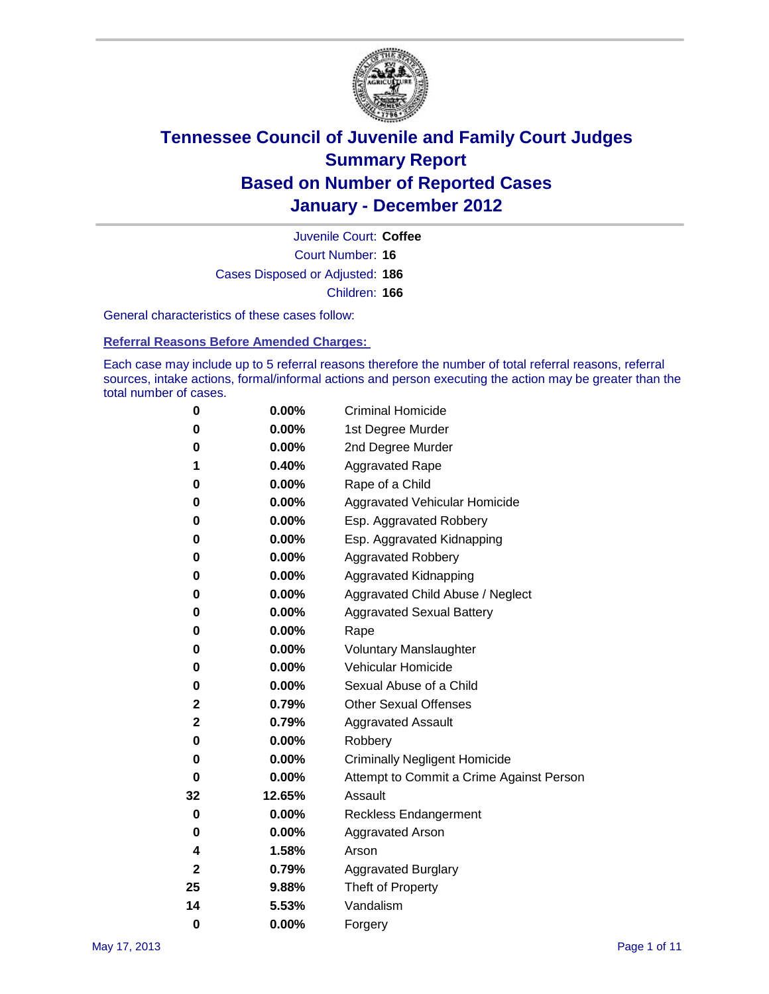

Court Number: **16** Juvenile Court: **Coffee** Cases Disposed or Adjusted: **186** Children: **166**

General characteristics of these cases follow:

**Referral Reasons Before Amended Charges:** 

Each case may include up to 5 referral reasons therefore the number of total referral reasons, referral sources, intake actions, formal/informal actions and person executing the action may be greater than the total number of cases.

| 0  | 0.00%    | <b>Criminal Homicide</b>                 |  |  |  |
|----|----------|------------------------------------------|--|--|--|
| 0  | 0.00%    | 1st Degree Murder                        |  |  |  |
| 0  | 0.00%    | 2nd Degree Murder                        |  |  |  |
| 1  | 0.40%    | <b>Aggravated Rape</b>                   |  |  |  |
| 0  | 0.00%    | Rape of a Child                          |  |  |  |
| 0  | 0.00%    | Aggravated Vehicular Homicide            |  |  |  |
| 0  | 0.00%    | Esp. Aggravated Robbery                  |  |  |  |
| 0  | 0.00%    | Esp. Aggravated Kidnapping               |  |  |  |
| 0  | 0.00%    | <b>Aggravated Robbery</b>                |  |  |  |
| 0  | 0.00%    | Aggravated Kidnapping                    |  |  |  |
| 0  | 0.00%    | Aggravated Child Abuse / Neglect         |  |  |  |
| 0  | $0.00\%$ | <b>Aggravated Sexual Battery</b>         |  |  |  |
| 0  | 0.00%    | Rape                                     |  |  |  |
| 0  | $0.00\%$ | <b>Voluntary Manslaughter</b>            |  |  |  |
| 0  | 0.00%    | Vehicular Homicide                       |  |  |  |
| 0  | 0.00%    | Sexual Abuse of a Child                  |  |  |  |
| 2  | 0.79%    | <b>Other Sexual Offenses</b>             |  |  |  |
| 2  | 0.79%    | <b>Aggravated Assault</b>                |  |  |  |
| 0  | $0.00\%$ | Robbery                                  |  |  |  |
| 0  | 0.00%    | <b>Criminally Negligent Homicide</b>     |  |  |  |
| 0  | 0.00%    | Attempt to Commit a Crime Against Person |  |  |  |
| 32 | 12.65%   | Assault                                  |  |  |  |
| 0  | 0.00%    | <b>Reckless Endangerment</b>             |  |  |  |
| 0  | 0.00%    | <b>Aggravated Arson</b>                  |  |  |  |
| 4  | 1.58%    | Arson                                    |  |  |  |
| 2  | 0.79%    | <b>Aggravated Burglary</b>               |  |  |  |
| 25 | 9.88%    | Theft of Property                        |  |  |  |
| 14 | 5.53%    | Vandalism                                |  |  |  |
| 0  | 0.00%    | Forgery                                  |  |  |  |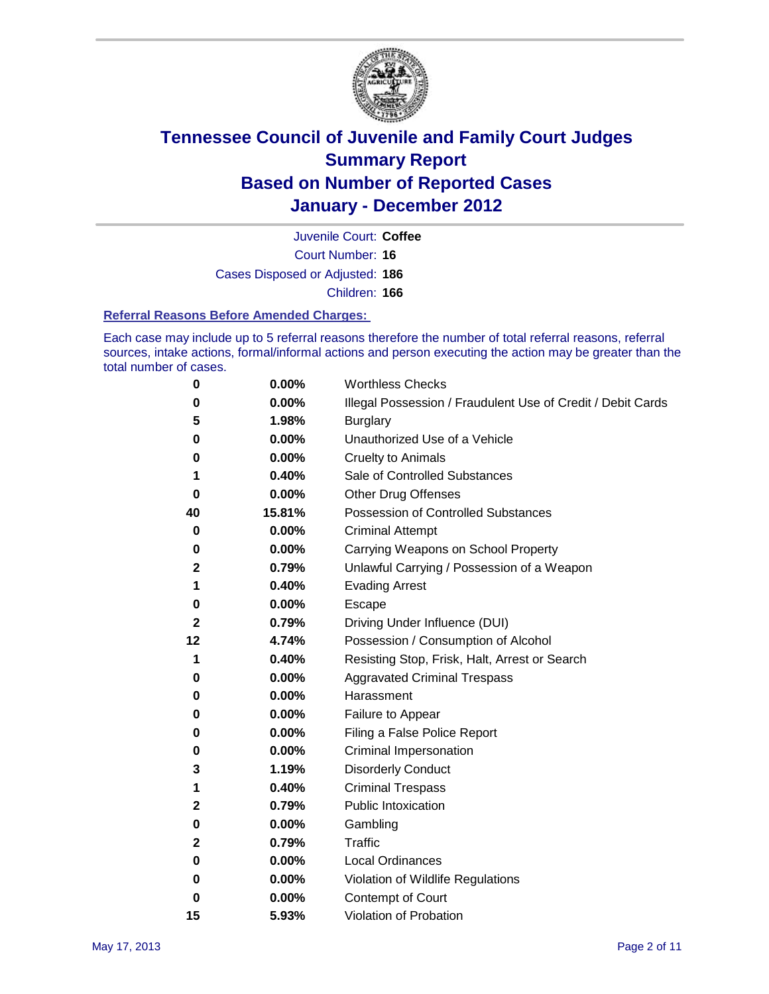

Court Number: **16** Juvenile Court: **Coffee** Cases Disposed or Adjusted: **186** Children: **166**

#### **Referral Reasons Before Amended Charges:**

Each case may include up to 5 referral reasons therefore the number of total referral reasons, referral sources, intake actions, formal/informal actions and person executing the action may be greater than the total number of cases.

| 0            | 0.00%  | <b>Worthless Checks</b>                                     |
|--------------|--------|-------------------------------------------------------------|
| 0            | 0.00%  | Illegal Possession / Fraudulent Use of Credit / Debit Cards |
| 5            | 1.98%  | <b>Burglary</b>                                             |
| 0            | 0.00%  | Unauthorized Use of a Vehicle                               |
| 0            | 0.00%  | <b>Cruelty to Animals</b>                                   |
| 1            | 0.40%  | Sale of Controlled Substances                               |
| 0            | 0.00%  | <b>Other Drug Offenses</b>                                  |
| 40           | 15.81% | Possession of Controlled Substances                         |
| 0            | 0.00%  | <b>Criminal Attempt</b>                                     |
| 0            | 0.00%  | Carrying Weapons on School Property                         |
| 2            | 0.79%  | Unlawful Carrying / Possession of a Weapon                  |
| 1            | 0.40%  | <b>Evading Arrest</b>                                       |
| 0            | 0.00%  | Escape                                                      |
| 2            | 0.79%  | Driving Under Influence (DUI)                               |
| 12           | 4.74%  | Possession / Consumption of Alcohol                         |
| 1            | 0.40%  | Resisting Stop, Frisk, Halt, Arrest or Search               |
| 0            | 0.00%  | <b>Aggravated Criminal Trespass</b>                         |
| 0            | 0.00%  | Harassment                                                  |
| 0            | 0.00%  | Failure to Appear                                           |
| 0            | 0.00%  | Filing a False Police Report                                |
| 0            | 0.00%  | Criminal Impersonation                                      |
| 3            | 1.19%  | <b>Disorderly Conduct</b>                                   |
| 1            | 0.40%  | <b>Criminal Trespass</b>                                    |
| $\mathbf{2}$ | 0.79%  | <b>Public Intoxication</b>                                  |
| 0            | 0.00%  | Gambling                                                    |
| $\mathbf{2}$ | 0.79%  | Traffic                                                     |
| 0            | 0.00%  | <b>Local Ordinances</b>                                     |
| 0            | 0.00%  | Violation of Wildlife Regulations                           |
| 0            | 0.00%  | Contempt of Court                                           |
| 15           | 5.93%  | Violation of Probation                                      |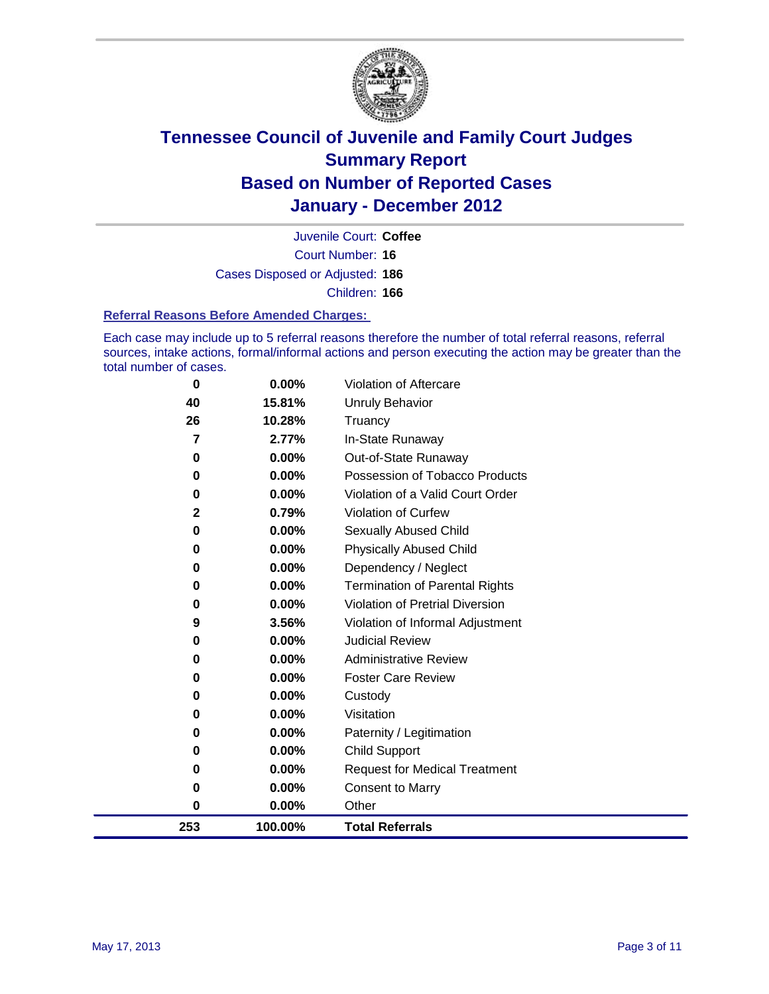

Court Number: **16** Juvenile Court: **Coffee** Cases Disposed or Adjusted: **186** Children: **166**

#### **Referral Reasons Before Amended Charges:**

Each case may include up to 5 referral reasons therefore the number of total referral reasons, referral sources, intake actions, formal/informal actions and person executing the action may be greater than the total number of cases.

| 253          | 100.00%  | <b>Total Referrals</b>                 |
|--------------|----------|----------------------------------------|
| $\bf{0}$     | 0.00%    | Other                                  |
| 0            | 0.00%    | <b>Consent to Marry</b>                |
| 0            | 0.00%    | <b>Request for Medical Treatment</b>   |
| $\bf{0}$     | 0.00%    | <b>Child Support</b>                   |
| $\bf{0}$     | 0.00%    | Paternity / Legitimation               |
| 0            | 0.00%    | Visitation                             |
| 0            | 0.00%    | Custody                                |
| 0            | 0.00%    | <b>Foster Care Review</b>              |
| 0            | $0.00\%$ | <b>Administrative Review</b>           |
| 0            | $0.00\%$ | <b>Judicial Review</b>                 |
| 9            | 3.56%    | Violation of Informal Adjustment       |
| 0            | $0.00\%$ | <b>Violation of Pretrial Diversion</b> |
| 0            | $0.00\%$ | Termination of Parental Rights         |
| 0            | 0.00%    | Dependency / Neglect                   |
| $\bf{0}$     | 0.00%    | <b>Physically Abused Child</b>         |
| 0            | 0.00%    | Sexually Abused Child                  |
| $\mathbf{2}$ | 0.79%    | Violation of Curfew                    |
| $\bf{0}$     | 0.00%    | Violation of a Valid Court Order       |
| $\bf{0}$     | 0.00%    | Possession of Tobacco Products         |
| 0            | 0.00%    | Out-of-State Runaway                   |
| 7            | 2.77%    | In-State Runaway                       |
| 26           | 10.28%   | Truancy                                |
| 40           | 15.81%   | <b>Unruly Behavior</b>                 |
| 0            | $0.00\%$ | <b>Violation of Aftercare</b>          |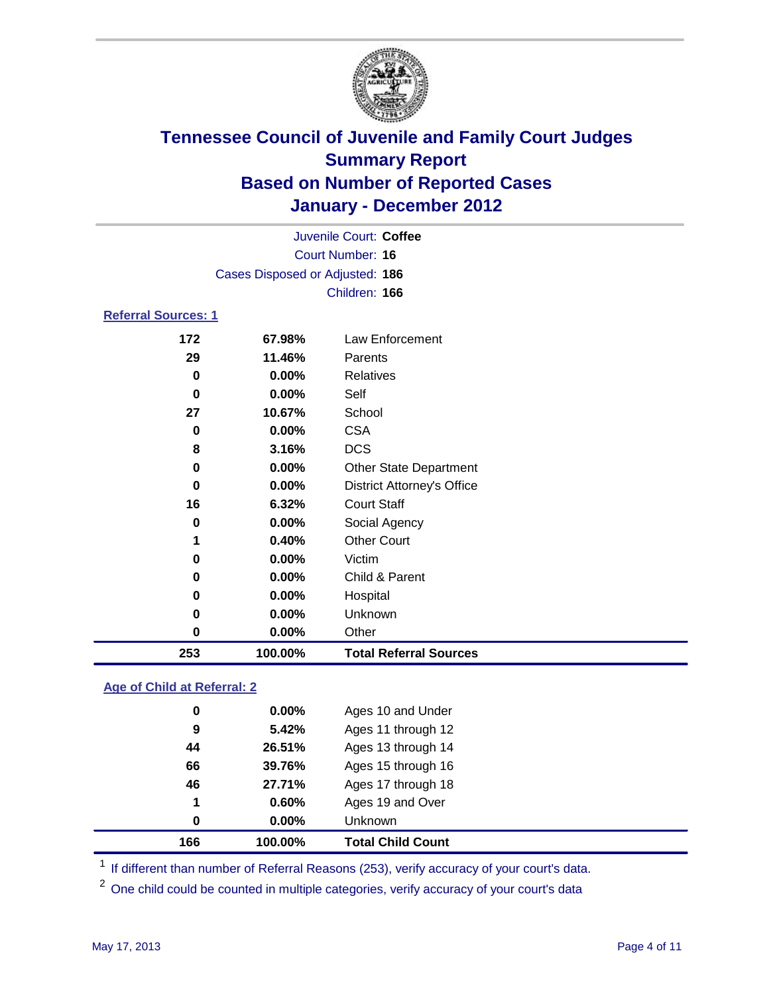

| 253      | 100.00%                         | <b>Total Referral Sources</b>     |  |
|----------|---------------------------------|-----------------------------------|--|
| 0        | 0.00%                           | Other                             |  |
| 0        | 0.00%                           | Unknown                           |  |
| 0        | 0.00%                           | Hospital                          |  |
| 0        | 0.00%                           | Child & Parent                    |  |
| 0        | 0.00%                           | Victim                            |  |
| 1        | 0.40%                           | <b>Other Court</b>                |  |
| 0        | 0.00%                           | Social Agency                     |  |
| 16       | 6.32%                           | <b>Court Staff</b>                |  |
| 0        | 0.00%                           | <b>District Attorney's Office</b> |  |
| $\bf{0}$ | 0.00%                           | <b>Other State Department</b>     |  |
| 8        | 3.16%                           | <b>DCS</b>                        |  |
| 0        | 0.00%                           | <b>CSA</b>                        |  |
| 27       | 10.67%                          | School                            |  |
| 0        | 0.00%                           | Self                              |  |
| 0        | 0.00%                           | Relatives                         |  |
| 29       | 11.46%                          | Parents                           |  |
| 172      | 67.98%                          | Law Enforcement                   |  |
|          | <b>Referral Sources: 1</b>      |                                   |  |
|          |                                 | Children: 166                     |  |
|          | Cases Disposed or Adjusted: 186 |                                   |  |
|          |                                 | Court Number: 16                  |  |
|          |                                 | Juvenile Court: Coffee            |  |
|          |                                 |                                   |  |

### **Age of Child at Referral: 2**

| 1<br>0   | 0.60%<br>$0.00\%$ | Ages 19 and Over<br><b>Unknown</b> |  |
|----------|-------------------|------------------------------------|--|
|          |                   |                                    |  |
|          |                   |                                    |  |
| 46       | 27.71%            | Ages 17 through 18                 |  |
| 66       | 39.76%            | Ages 15 through 16                 |  |
| 44       | 26.51%            | Ages 13 through 14                 |  |
| 9        | 5.42%             | Ages 11 through 12                 |  |
| $\bf{0}$ | $0.00\%$          | Ages 10 and Under                  |  |
|          |                   |                                    |  |

<sup>1</sup> If different than number of Referral Reasons (253), verify accuracy of your court's data.

<sup>2</sup> One child could be counted in multiple categories, verify accuracy of your court's data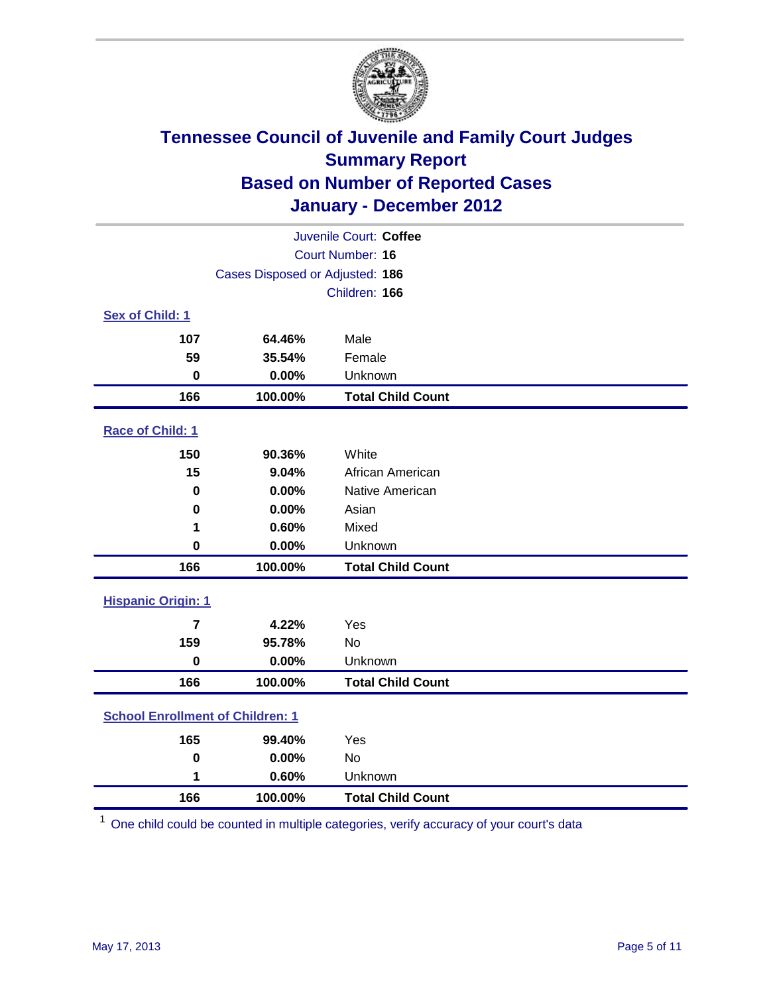

| Juvenile Court: Coffee                  |                                 |                          |  |
|-----------------------------------------|---------------------------------|--------------------------|--|
| <b>Court Number: 16</b>                 |                                 |                          |  |
|                                         | Cases Disposed or Adjusted: 186 |                          |  |
|                                         |                                 | Children: 166            |  |
| Sex of Child: 1                         |                                 |                          |  |
| 107                                     | 64.46%                          | Male                     |  |
| 59                                      | 35.54%                          | Female                   |  |
| $\mathbf 0$                             | 0.00%                           | Unknown                  |  |
| 166                                     | 100.00%                         | <b>Total Child Count</b> |  |
| Race of Child: 1                        |                                 |                          |  |
| 150                                     | 90.36%                          | White                    |  |
| 15                                      | 9.04%                           | African American         |  |
| 0                                       | 0.00%                           | Native American          |  |
| $\mathbf 0$                             | 0.00%                           | Asian                    |  |
| 1                                       | 0.60%                           | Mixed                    |  |
| $\mathbf 0$                             | 0.00%                           | Unknown                  |  |
| 166                                     | 100.00%                         | <b>Total Child Count</b> |  |
| <b>Hispanic Origin: 1</b>               |                                 |                          |  |
| $\overline{7}$                          | 4.22%                           | Yes                      |  |
| 159                                     | 95.78%                          | No                       |  |
| $\mathbf 0$                             | 0.00%                           | Unknown                  |  |
| 166                                     | 100.00%                         | <b>Total Child Count</b> |  |
| <b>School Enrollment of Children: 1</b> |                                 |                          |  |
| 165                                     | 99.40%                          | Yes                      |  |
| $\mathbf 0$                             | 0.00%                           | No                       |  |
| 1                                       | 0.60%                           | Unknown                  |  |
| 166                                     | 100.00%                         | <b>Total Child Count</b> |  |

One child could be counted in multiple categories, verify accuracy of your court's data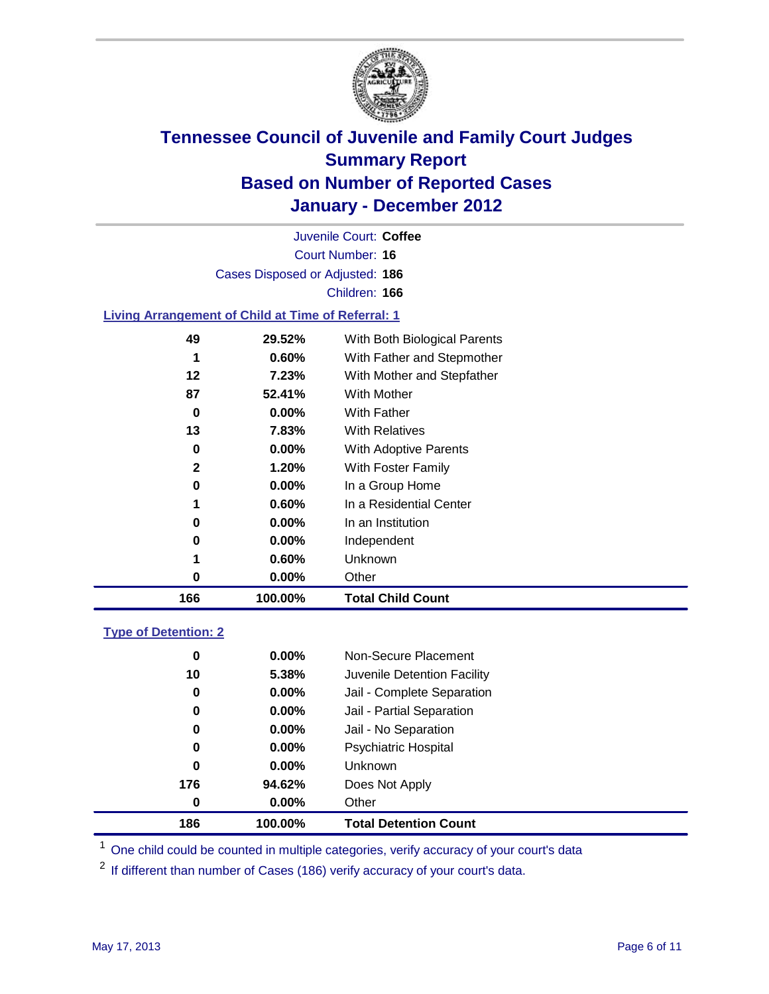

Court Number: **16** Juvenile Court: **Coffee** Cases Disposed or Adjusted: **186** Children: **166**

### **Living Arrangement of Child at Time of Referral: 1**

| 166 | 100.00%  | <b>Total Child Count</b>     |
|-----|----------|------------------------------|
| 0   | 0.00%    | Other                        |
| 1   | 0.60%    | Unknown                      |
| 0   | $0.00\%$ | Independent                  |
| 0   | $0.00\%$ | In an Institution            |
| 1   | 0.60%    | In a Residential Center      |
| 0   | $0.00\%$ | In a Group Home              |
| 2   | 1.20%    | With Foster Family           |
| 0   | $0.00\%$ | With Adoptive Parents        |
| 13  | 7.83%    | <b>With Relatives</b>        |
| 0   | $0.00\%$ | <b>With Father</b>           |
| 87  | 52.41%   | With Mother                  |
| 12  | 7.23%    | With Mother and Stepfather   |
| 1   | 0.60%    | With Father and Stepmother   |
| 49  | 29.52%   | With Both Biological Parents |

### **Type of Detention: 2**

| 186      | 100.00%  | <b>Total Detention Count</b> |
|----------|----------|------------------------------|
| $\bf{0}$ | $0.00\%$ | Other                        |
| 176      | 94.62%   | Does Not Apply               |
| $\bf{0}$ | $0.00\%$ | Unknown                      |
| 0        | 0.00%    | <b>Psychiatric Hospital</b>  |
| 0        | 0.00%    | Jail - No Separation         |
| 0        | $0.00\%$ | Jail - Partial Separation    |
| 0        | $0.00\%$ | Jail - Complete Separation   |
| 10       | 5.38%    | Juvenile Detention Facility  |
| 0        | $0.00\%$ | Non-Secure Placement         |
|          |          |                              |

<sup>1</sup> One child could be counted in multiple categories, verify accuracy of your court's data

<sup>2</sup> If different than number of Cases (186) verify accuracy of your court's data.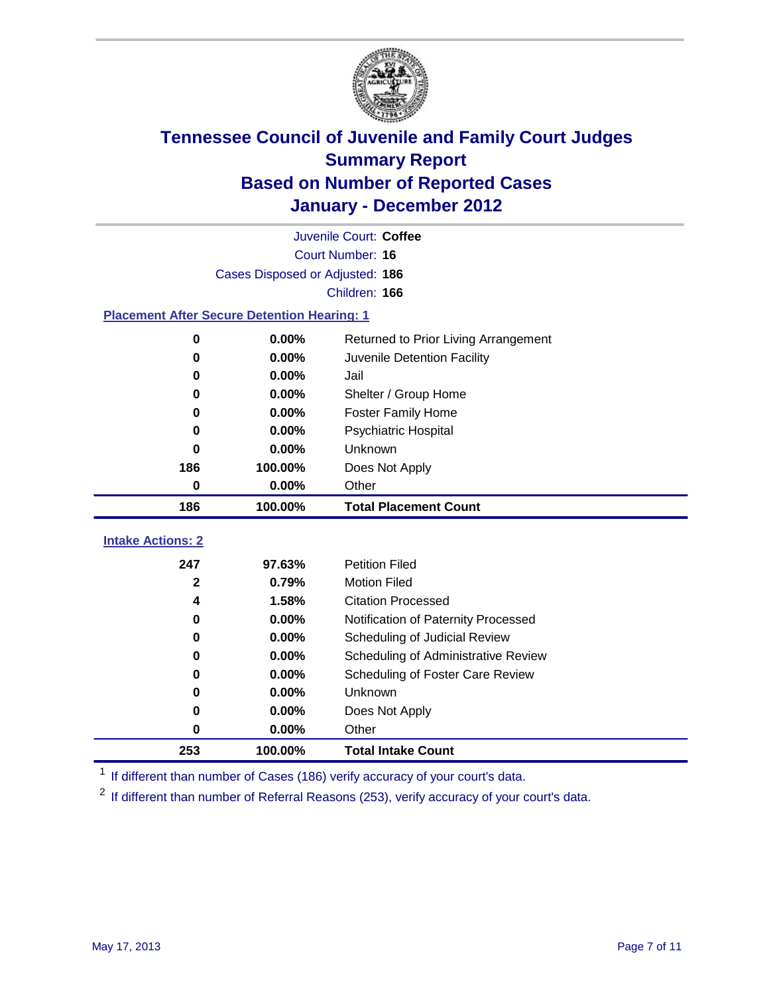

| Juvenile Court: Coffee                             |                                               |                                     |  |  |  |
|----------------------------------------------------|-----------------------------------------------|-------------------------------------|--|--|--|
|                                                    | Court Number: 16                              |                                     |  |  |  |
|                                                    | Cases Disposed or Adjusted: 186               |                                     |  |  |  |
|                                                    |                                               | Children: 166                       |  |  |  |
| <b>Placement After Secure Detention Hearing: 1</b> |                                               |                                     |  |  |  |
| $\pmb{0}$                                          | 0.00%<br>Returned to Prior Living Arrangement |                                     |  |  |  |
| $\bf{0}$                                           | 0.00%                                         | Juvenile Detention Facility         |  |  |  |
| 0                                                  | 0.00%                                         | Jail                                |  |  |  |
| 0                                                  | 0.00%                                         | Shelter / Group Home                |  |  |  |
| 0                                                  | 0.00%                                         | <b>Foster Family Home</b>           |  |  |  |
| $\bf{0}$                                           | 0.00%                                         | Psychiatric Hospital                |  |  |  |
| $\bf{0}$                                           | 0.00%                                         | Unknown                             |  |  |  |
| 186                                                | 100.00%                                       | Does Not Apply                      |  |  |  |
| $\mathbf 0$                                        | 0.00%                                         | Other                               |  |  |  |
| 186<br>100.00%<br><b>Total Placement Count</b>     |                                               |                                     |  |  |  |
| <b>Intake Actions: 2</b>                           |                                               |                                     |  |  |  |
| 247                                                | 97.63%                                        | <b>Petition Filed</b>               |  |  |  |
| 2                                                  | 0.79%                                         | <b>Motion Filed</b>                 |  |  |  |
| 4                                                  | 1.58%                                         | <b>Citation Processed</b>           |  |  |  |
| 0                                                  | 0.00%                                         | Notification of Paternity Processed |  |  |  |
| $\bf{0}$                                           | 0.00%                                         | Scheduling of Judicial Review       |  |  |  |
| 0                                                  | 0.00%                                         | Scheduling of Administrative Review |  |  |  |
| 0                                                  | 0.00%                                         | Scheduling of Foster Care Review    |  |  |  |
| $\bf{0}$                                           | 0.00%                                         | Unknown                             |  |  |  |
| 0                                                  | 0.00%                                         | Does Not Apply                      |  |  |  |
| 0                                                  | 0.00%                                         | Other                               |  |  |  |

<sup>1</sup> If different than number of Cases (186) verify accuracy of your court's data.

**100.00% Total Intake Count**

<sup>2</sup> If different than number of Referral Reasons (253), verify accuracy of your court's data.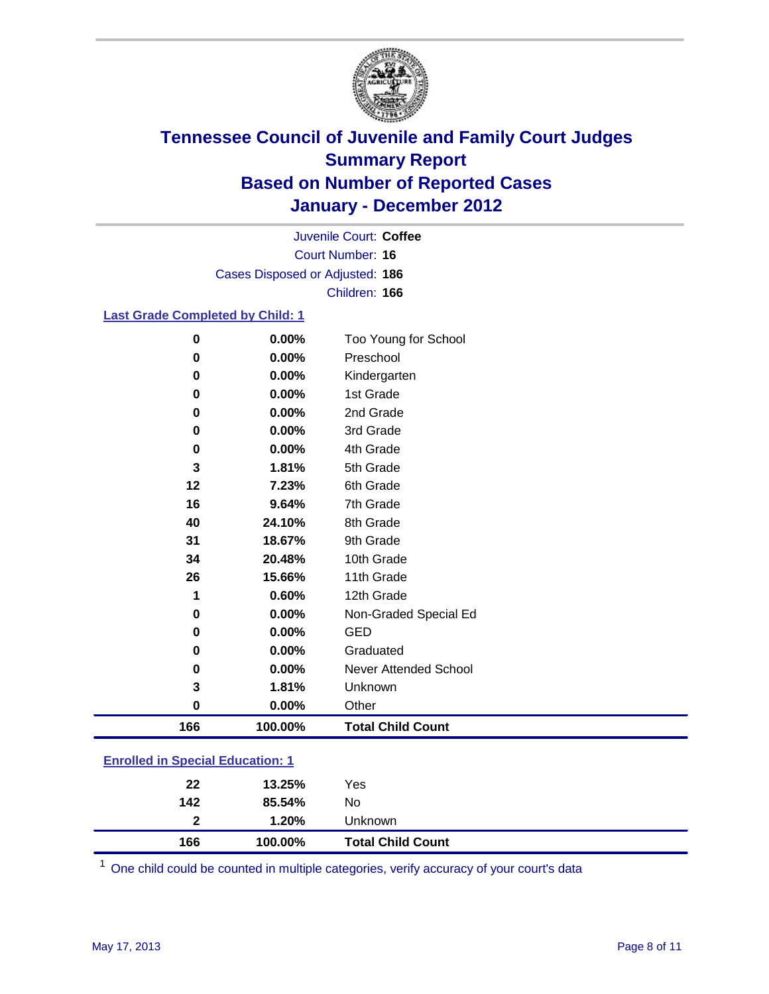

Court Number: **16** Juvenile Court: **Coffee** Cases Disposed or Adjusted: **186** Children: **166**

### **Last Grade Completed by Child: 1**

| $\bf{0}$                                | 0.00%    | Too Young for School         |  |
|-----------------------------------------|----------|------------------------------|--|
| $\bf{0}$                                | 0.00%    | Preschool                    |  |
| 0                                       | 0.00%    | Kindergarten                 |  |
| 0                                       | 0.00%    | 1st Grade                    |  |
| 0                                       | 0.00%    | 2nd Grade                    |  |
| 0                                       | $0.00\%$ | 3rd Grade                    |  |
| $\bf{0}$                                | 0.00%    | 4th Grade                    |  |
| 3                                       | 1.81%    | 5th Grade                    |  |
| 12                                      | 7.23%    | 6th Grade                    |  |
| 16                                      | 9.64%    | 7th Grade                    |  |
| 40                                      | 24.10%   | 8th Grade                    |  |
| 31                                      | 18.67%   | 9th Grade                    |  |
| 34                                      | 20.48%   | 10th Grade                   |  |
| 26                                      | 15.66%   | 11th Grade                   |  |
| 1                                       | 0.60%    | 12th Grade                   |  |
| 0                                       | 0.00%    | Non-Graded Special Ed        |  |
| 0                                       | $0.00\%$ | <b>GED</b>                   |  |
| 0                                       | 0.00%    | Graduated                    |  |
| 0                                       | 0.00%    | <b>Never Attended School</b> |  |
| 3                                       | 1.81%    | Unknown                      |  |
| $\bf{0}$                                | 0.00%    | Other                        |  |
| 166                                     | 100.00%  | <b>Total Child Count</b>     |  |
| <b>Enrolled in Special Education: 1</b> |          |                              |  |

| 166          | 100.00% | <b>Total Child Count</b> |
|--------------|---------|--------------------------|
| $\mathbf{2}$ | 1.20%   | Unknown                  |
| 142          | 85.54%  | No                       |
| 22           | 13.25%  | Yes                      |

One child could be counted in multiple categories, verify accuracy of your court's data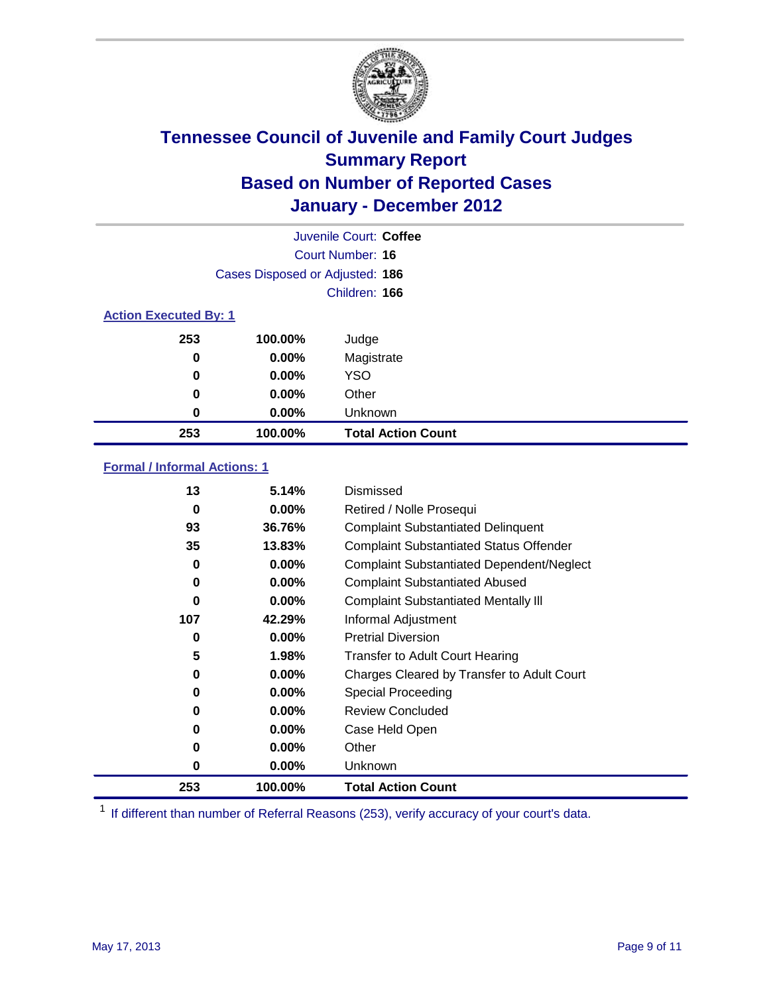

|                              | Juvenile Court: Coffee          |                           |  |  |
|------------------------------|---------------------------------|---------------------------|--|--|
|                              |                                 | Court Number: 16          |  |  |
|                              | Cases Disposed or Adjusted: 186 |                           |  |  |
|                              |                                 | Children: 166             |  |  |
| <b>Action Executed By: 1</b> |                                 |                           |  |  |
| 253                          | 100.00%                         | Judge                     |  |  |
| 0                            | $0.00\%$                        | Magistrate                |  |  |
| 0                            | $0.00\%$                        | <b>YSO</b>                |  |  |
| 0                            | 0.00%                           | Other                     |  |  |
| 0                            | 0.00%                           | Unknown                   |  |  |
| 253                          | 100.00%                         | <b>Total Action Count</b> |  |  |

### **Formal / Informal Actions: 1**

| 13       | 5.14%    | Dismissed                                        |
|----------|----------|--------------------------------------------------|
| 0        | $0.00\%$ | Retired / Nolle Prosequi                         |
| 93       | 36.76%   | <b>Complaint Substantiated Delinquent</b>        |
| 35       | 13.83%   | <b>Complaint Substantiated Status Offender</b>   |
| 0        | $0.00\%$ | <b>Complaint Substantiated Dependent/Neglect</b> |
| 0        | $0.00\%$ | <b>Complaint Substantiated Abused</b>            |
| $\bf{0}$ | $0.00\%$ | <b>Complaint Substantiated Mentally III</b>      |
| 107      | 42.29%   | Informal Adjustment                              |
| 0        | $0.00\%$ | <b>Pretrial Diversion</b>                        |
| 5        | 1.98%    | <b>Transfer to Adult Court Hearing</b>           |
| 0        | 0.00%    | Charges Cleared by Transfer to Adult Court       |
| 0        | $0.00\%$ | Special Proceeding                               |
| 0        | $0.00\%$ | <b>Review Concluded</b>                          |
| 0        | $0.00\%$ | Case Held Open                                   |
| $\bf{0}$ | $0.00\%$ | Other                                            |
| 0        | $0.00\%$ | <b>Unknown</b>                                   |
| 253      | 100.00%  | <b>Total Action Count</b>                        |

<sup>1</sup> If different than number of Referral Reasons (253), verify accuracy of your court's data.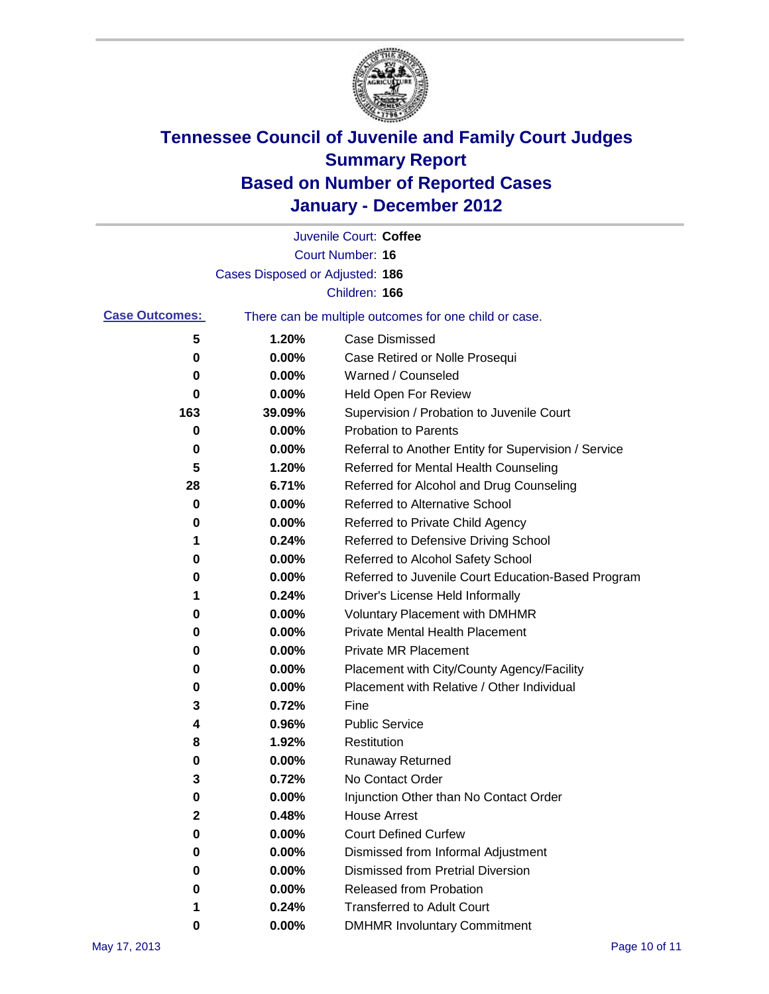

|                       |                                 | Juvenile Court: Coffee                                |
|-----------------------|---------------------------------|-------------------------------------------------------|
|                       |                                 | <b>Court Number: 16</b>                               |
|                       | Cases Disposed or Adjusted: 186 |                                                       |
|                       |                                 | Children: 166                                         |
| <b>Case Outcomes:</b> |                                 | There can be multiple outcomes for one child or case. |
| 5                     | 1.20%                           | Case Dismissed                                        |
| 0                     | 0.00%                           | Case Retired or Nolle Prosequi                        |
| 0                     | 0.00%                           | Warned / Counseled                                    |
| 0                     | 0.00%                           | Held Open For Review                                  |
| 163                   | 39.09%                          | Supervision / Probation to Juvenile Court             |
| 0                     | 0.00%                           | <b>Probation to Parents</b>                           |
| 0                     | 0.00%                           | Referral to Another Entity for Supervision / Service  |
| 5                     | 1.20%                           | Referred for Mental Health Counseling                 |
| 28                    | 6.71%                           | Referred for Alcohol and Drug Counseling              |
| 0                     | 0.00%                           | <b>Referred to Alternative School</b>                 |
| 0                     | 0.00%                           | Referred to Private Child Agency                      |
| 1                     | 0.24%                           | Referred to Defensive Driving School                  |
| 0                     | 0.00%                           | Referred to Alcohol Safety School                     |
| 0                     | 0.00%                           | Referred to Juvenile Court Education-Based Program    |
| 1                     | 0.24%                           | Driver's License Held Informally                      |
| 0                     | 0.00%                           | <b>Voluntary Placement with DMHMR</b>                 |
| 0                     | 0.00%                           | <b>Private Mental Health Placement</b>                |
| 0                     | 0.00%                           | <b>Private MR Placement</b>                           |
| 0                     | 0.00%                           | Placement with City/County Agency/Facility            |
| 0                     | 0.00%                           | Placement with Relative / Other Individual            |
| 3                     | 0.72%                           | Fine                                                  |
| 4                     | 0.96%                           | <b>Public Service</b>                                 |
| 8                     | 1.92%                           | Restitution                                           |
| 0                     | 0.00%                           | Runaway Returned                                      |
| 3                     | 0.72%                           | No Contact Order                                      |
| $\bf{0}$              | 0.00%                           | Injunction Other than No Contact Order                |
| 2                     | 0.48%                           | <b>House Arrest</b>                                   |
| 0                     | 0.00%                           | <b>Court Defined Curfew</b>                           |
| 0                     | 0.00%                           | Dismissed from Informal Adjustment                    |
| 0                     | 0.00%                           | <b>Dismissed from Pretrial Diversion</b>              |
| 0                     | 0.00%                           | <b>Released from Probation</b>                        |
| 1                     | 0.24%                           | <b>Transferred to Adult Court</b>                     |
| 0                     | $0.00\%$                        | <b>DMHMR Involuntary Commitment</b>                   |